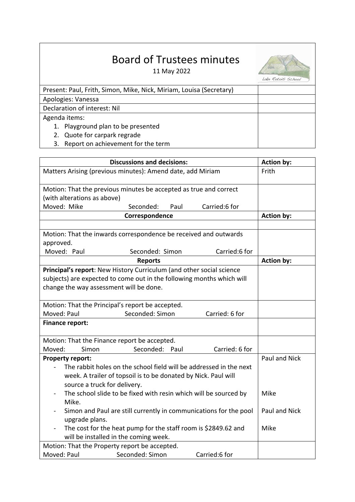## Board of Trustees minutes

11 May 2022



Lake Rotoiti School

| Present: Paul, Frith, Simon, Mike, Nick, Miriam, Louisa (Secretary) |  |
|---------------------------------------------------------------------|--|
| Apologies: Vanessa                                                  |  |
| Declaration of interest: Nil                                        |  |
| Agenda items:                                                       |  |
| 1. Playground plan to be presented                                  |  |
| 2. Quote for carpark regrade                                        |  |
| 3. Report on achievement for the term                               |  |

| <b>Discussions and decisions:</b>                                                                                                                                                               | <b>Action by:</b> |
|-------------------------------------------------------------------------------------------------------------------------------------------------------------------------------------------------|-------------------|
| Matters Arising (previous minutes): Amend date, add Miriam                                                                                                                                      | Frith             |
| Motion: That the previous minutes be accepted as true and correct                                                                                                                               |                   |
| (with alterations as above)                                                                                                                                                                     |                   |
| Moved: Mike<br>Seconded:<br>Carried:6 for<br>Paul                                                                                                                                               |                   |
| Correspondence                                                                                                                                                                                  | <b>Action by:</b> |
|                                                                                                                                                                                                 |                   |
| Motion: That the inwards correspondence be received and outwards<br>approved.                                                                                                                   |                   |
| Moved: Paul<br>Seconded: Simon<br>Carried:6 for                                                                                                                                                 |                   |
| <b>Reports</b>                                                                                                                                                                                  | <b>Action by:</b> |
| Principal's report: New History Curriculum (and other social science<br>subjects) are expected to come out in the following months which will<br>change the way assessment will be done.        |                   |
| Motion: That the Principal's report be accepted.                                                                                                                                                |                   |
| Moved: Paul<br>Seconded: Simon<br>Carried: 6 for                                                                                                                                                |                   |
| Finance report:                                                                                                                                                                                 |                   |
| Motion: That the Finance report be accepted.                                                                                                                                                    |                   |
| Seconded: Paul<br>Carried: 6 for<br>Moved:<br>Simon                                                                                                                                             |                   |
| <b>Property report:</b><br>The rabbit holes on the school field will be addressed in the next<br>week. A trailer of topsoil is to be donated by Nick. Paul will<br>source a truck for delivery. | Paul and Nick     |
| The school slide to be fixed with resin which will be sourced by<br>Mike.                                                                                                                       | Mike              |
| Simon and Paul are still currently in communications for the pool<br>upgrade plans.                                                                                                             | Paul and Nick     |
| The cost for the heat pump for the staff room is \$2849.62 and<br>will be installed in the coming week.                                                                                         | Mike              |
| Motion: That the Property report be accepted.                                                                                                                                                   |                   |
| Seconded: Simon<br>Moved: Paul<br>Carried:6 for                                                                                                                                                 |                   |